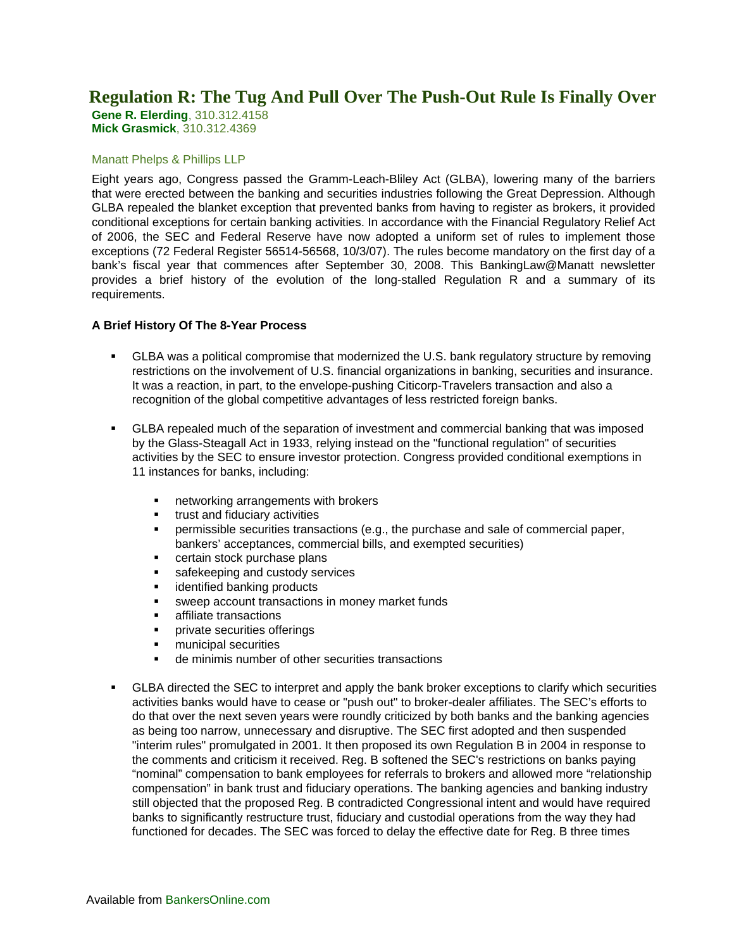# **Regulation R: The Tug And Pull Over The Push-Out Rule Is Finally Over**

**Gene R. Elerding**, 310.312.4158 **Mick Grasmick**, 310.312.4369

#### Manatt Phelps & Phillips LLP

Eight years ago, Congress passed the Gramm-Leach-Bliley Act (GLBA), lowering many of the barriers that were erected between the banking and securities industries following the Great Depression. Although GLBA repealed the blanket exception that prevented banks from having to register as brokers, it provided conditional exceptions for certain banking activities. In accordance with the Financial Regulatory Relief Act of 2006, the SEC and Federal Reserve have now adopted a uniform set of rules to implement those exceptions (72 Federal Register 56514-56568, 10/3/07). The rules become mandatory on the first day of a bank's fiscal year that commences after September 30, 2008. This BankingLaw@Manatt newsletter provides a brief history of the evolution of the long-stalled Regulation R and a summary of its requirements.

### **A Brief History Of The 8-Year Process**

- GLBA was a political compromise that modernized the U.S. bank regulatory structure by removing restrictions on the involvement of U.S. financial organizations in banking, securities and insurance. It was a reaction, in part, to the envelope-pushing Citicorp-Travelers transaction and also a recognition of the global competitive advantages of less restricted foreign banks.
- GLBA repealed much of the separation of investment and commercial banking that was imposed by the Glass-Steagall Act in 1933, relying instead on the "functional regulation" of securities activities by the SEC to ensure investor protection. Congress provided conditional exemptions in 11 instances for banks, including:
	- networking arrangements with brokers
	- **trust and fiduciary activities**
	- permissible securities transactions (e.g., the purchase and sale of commercial paper, bankers' acceptances, commercial bills, and exempted securities)
	- certain stock purchase plans
	- safekeeping and custody services
	- identified banking products
	- sweep account transactions in money market funds
	- **EXECUTE:** affiliate transactions
	- **Private securities offerings**
	- **nunicipal securities**
	- de minimis number of other securities transactions
- GLBA directed the SEC to interpret and apply the bank broker exceptions to clarify which securities activities banks would have to cease or "push out" to broker-dealer affiliates. The SEC's efforts to do that over the next seven years were roundly criticized by both banks and the banking agencies as being too narrow, unnecessary and disruptive. The SEC first adopted and then suspended "interim rules" promulgated in 2001. It then proposed its own Regulation B in 2004 in response to the comments and criticism it received. Reg. B softened the SEC's restrictions on banks paying "nominal" compensation to bank employees for referrals to brokers and allowed more "relationship compensation" in bank trust and fiduciary operations. The banking agencies and banking industry still objected that the proposed Reg. B contradicted Congressional intent and would have required banks to significantly restructure trust, fiduciary and custodial operations from the way they had functioned for decades. The SEC was forced to delay the effective date for Reg. B three times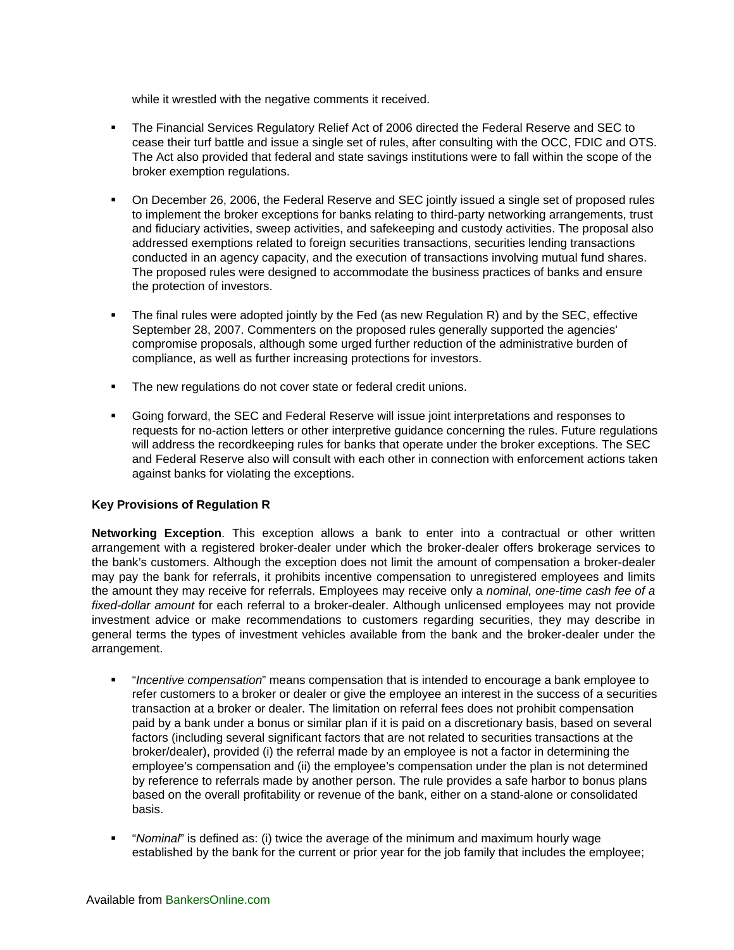while it wrestled with the negative comments it received.

- The Financial Services Regulatory Relief Act of 2006 directed the Federal Reserve and SEC to cease their turf battle and issue a single set of rules, after consulting with the OCC, FDIC and OTS. The Act also provided that federal and state savings institutions were to fall within the scope of the broker exemption regulations.
- On December 26, 2006, the Federal Reserve and SEC jointly issued a single set of proposed rules to implement the broker exceptions for banks relating to third-party networking arrangements, trust and fiduciary activities, sweep activities, and safekeeping and custody activities. The proposal also addressed exemptions related to foreign securities transactions, securities lending transactions conducted in an agency capacity, and the execution of transactions involving mutual fund shares. The proposed rules were designed to accommodate the business practices of banks and ensure the protection of investors.
- The final rules were adopted jointly by the Fed (as new Regulation R) and by the SEC, effective September 28, 2007. Commenters on the proposed rules generally supported the agencies' compromise proposals, although some urged further reduction of the administrative burden of compliance, as well as further increasing protections for investors.
- The new regulations do not cover state or federal credit unions.
- Going forward, the SEC and Federal Reserve will issue joint interpretations and responses to requests for no-action letters or other interpretive guidance concerning the rules. Future regulations will address the recordkeeping rules for banks that operate under the broker exceptions. The SEC and Federal Reserve also will consult with each other in connection with enforcement actions taken against banks for violating the exceptions.

## **Key Provisions of Regulation R**

**Networking Exception**. This exception allows a bank to enter into a contractual or other written arrangement with a registered broker-dealer under which the broker-dealer offers brokerage services to the bank's customers. Although the exception does not limit the amount of compensation a broker-dealer may pay the bank for referrals, it prohibits incentive compensation to unregistered employees and limits the amount they may receive for referrals. Employees may receive only a *nominal, one-time cash fee of a fixed-dollar amount* for each referral to a broker-dealer. Although unlicensed employees may not provide investment advice or make recommendations to customers regarding securities, they may describe in general terms the types of investment vehicles available from the bank and the broker-dealer under the arrangement.

- "*Incentive compensation*" means compensation that is intended to encourage a bank employee to refer customers to a broker or dealer or give the employee an interest in the success of a securities transaction at a broker or dealer. The limitation on referral fees does not prohibit compensation paid by a bank under a bonus or similar plan if it is paid on a discretionary basis, based on several factors (including several significant factors that are not related to securities transactions at the broker/dealer), provided (i) the referral made by an employee is not a factor in determining the employee's compensation and (ii) the employee's compensation under the plan is not determined by reference to referrals made by another person. The rule provides a safe harbor to bonus plans based on the overall profitability or revenue of the bank, either on a stand-alone or consolidated basis.
- "*Nominal*" is defined as: (i) twice the average of the minimum and maximum hourly wage established by the bank for the current or prior year for the job family that includes the employee;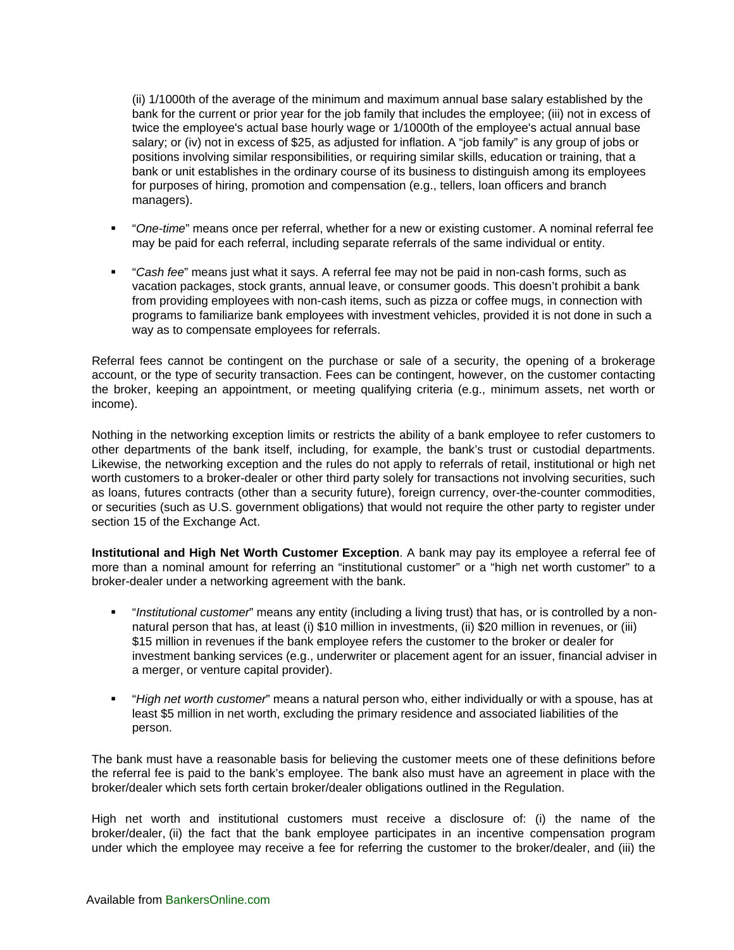(ii) 1/1000th of the average of the minimum and maximum annual base salary established by the bank for the current or prior year for the job family that includes the employee; (iii) not in excess of twice the employee's actual base hourly wage or 1/1000th of the employee's actual annual base salary; or (iv) not in excess of \$25, as adjusted for inflation. A "job family" is any group of jobs or positions involving similar responsibilities, or requiring similar skills, education or training, that a bank or unit establishes in the ordinary course of its business to distinguish among its employees for purposes of hiring, promotion and compensation (e.g., tellers, loan officers and branch managers).

- "*One-time*" means once per referral, whether for a new or existing customer. A nominal referral fee may be paid for each referral, including separate referrals of the same individual or entity.
- "*Cash fee*" means just what it says. A referral fee may not be paid in non-cash forms, such as vacation packages, stock grants, annual leave, or consumer goods. This doesn't prohibit a bank from providing employees with non-cash items, such as pizza or coffee mugs, in connection with programs to familiarize bank employees with investment vehicles, provided it is not done in such a way as to compensate employees for referrals.

Referral fees cannot be contingent on the purchase or sale of a security, the opening of a brokerage account, or the type of security transaction. Fees can be contingent, however, on the customer contacting the broker, keeping an appointment, or meeting qualifying criteria (e.g., minimum assets, net worth or income).

Nothing in the networking exception limits or restricts the ability of a bank employee to refer customers to other departments of the bank itself, including, for example, the bank's trust or custodial departments. Likewise, the networking exception and the rules do not apply to referrals of retail, institutional or high net worth customers to a broker-dealer or other third party solely for transactions not involving securities, such as loans, futures contracts (other than a security future), foreign currency, over-the-counter commodities, or securities (such as U.S. government obligations) that would not require the other party to register under section 15 of the Exchange Act.

**Institutional and High Net Worth Customer Exception**. A bank may pay its employee a referral fee of more than a nominal amount for referring an "institutional customer" or a "high net worth customer" to a broker-dealer under a networking agreement with the bank.

- "*Institutional customer*" means any entity (including a living trust) that has, or is controlled by a nonnatural person that has, at least (i) \$10 million in investments, (ii) \$20 million in revenues, or (iii) \$15 million in revenues if the bank employee refers the customer to the broker or dealer for investment banking services (e.g., underwriter or placement agent for an issuer, financial adviser in a merger, or venture capital provider).
- "*High net worth customer*" means a natural person who, either individually or with a spouse, has at least \$5 million in net worth, excluding the primary residence and associated liabilities of the person.

The bank must have a reasonable basis for believing the customer meets one of these definitions before the referral fee is paid to the bank's employee. The bank also must have an agreement in place with the broker/dealer which sets forth certain broker/dealer obligations outlined in the Regulation.

High net worth and institutional customers must receive a disclosure of: (i) the name of the broker/dealer, (ii) the fact that the bank employee participates in an incentive compensation program under which the employee may receive a fee for referring the customer to the broker/dealer, and (iii) the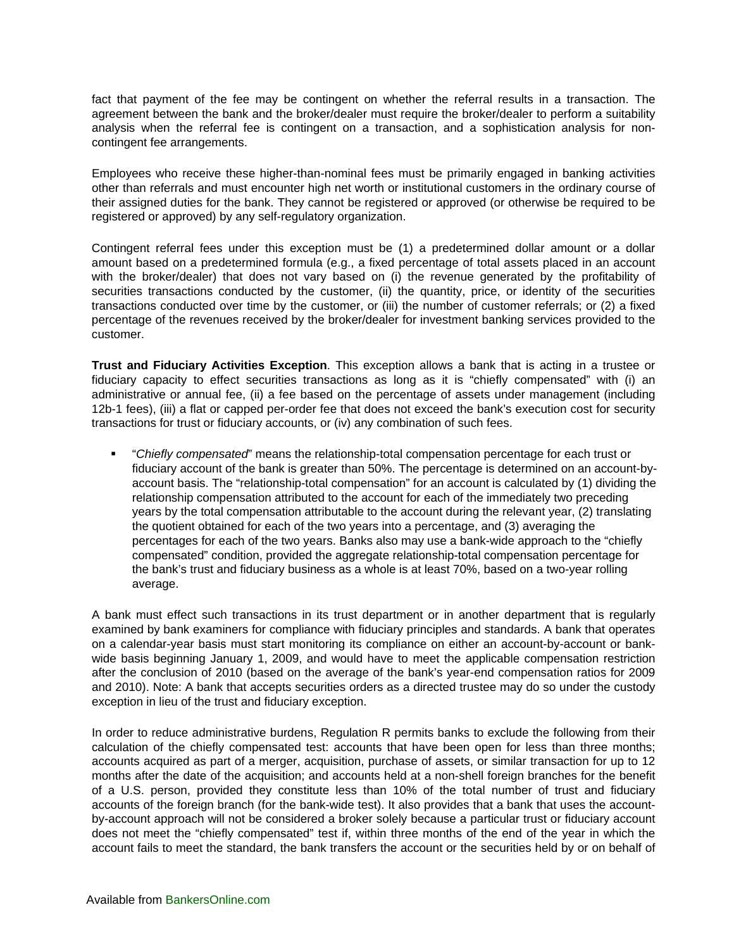fact that payment of the fee may be contingent on whether the referral results in a transaction. The agreement between the bank and the broker/dealer must require the broker/dealer to perform a suitability analysis when the referral fee is contingent on a transaction, and a sophistication analysis for noncontingent fee arrangements.

Employees who receive these higher-than-nominal fees must be primarily engaged in banking activities other than referrals and must encounter high net worth or institutional customers in the ordinary course of their assigned duties for the bank. They cannot be registered or approved (or otherwise be required to be registered or approved) by any self-regulatory organization.

Contingent referral fees under this exception must be (1) a predetermined dollar amount or a dollar amount based on a predetermined formula (e.g., a fixed percentage of total assets placed in an account with the broker/dealer) that does not vary based on (i) the revenue generated by the profitability of securities transactions conducted by the customer, (ii) the quantity, price, or identity of the securities transactions conducted over time by the customer, or (iii) the number of customer referrals; or (2) a fixed percentage of the revenues received by the broker/dealer for investment banking services provided to the customer.

**Trust and Fiduciary Activities Exception**. This exception allows a bank that is acting in a trustee or fiduciary capacity to effect securities transactions as long as it is "chiefly compensated" with (i) an administrative or annual fee, (ii) a fee based on the percentage of assets under management (including 12b-1 fees), (iii) a flat or capped per-order fee that does not exceed the bank's execution cost for security transactions for trust or fiduciary accounts, or (iv) any combination of such fees.

 "*Chiefly compensated*" means the relationship-total compensation percentage for each trust or fiduciary account of the bank is greater than 50%. The percentage is determined on an account-byaccount basis. The "relationship-total compensation" for an account is calculated by (1) dividing the relationship compensation attributed to the account for each of the immediately two preceding years by the total compensation attributable to the account during the relevant year, (2) translating the quotient obtained for each of the two years into a percentage, and (3) averaging the percentages for each of the two years. Banks also may use a bank-wide approach to the "chiefly compensated" condition, provided the aggregate relationship-total compensation percentage for the bank's trust and fiduciary business as a whole is at least 70%, based on a two-year rolling average.

A bank must effect such transactions in its trust department or in another department that is regularly examined by bank examiners for compliance with fiduciary principles and standards. A bank that operates on a calendar-year basis must start monitoring its compliance on either an account-by-account or bankwide basis beginning January 1, 2009, and would have to meet the applicable compensation restriction after the conclusion of 2010 (based on the average of the bank's year-end compensation ratios for 2009 and 2010). Note: A bank that accepts securities orders as a directed trustee may do so under the custody exception in lieu of the trust and fiduciary exception.

In order to reduce administrative burdens, Regulation R permits banks to exclude the following from their calculation of the chiefly compensated test: accounts that have been open for less than three months; accounts acquired as part of a merger, acquisition, purchase of assets, or similar transaction for up to 12 months after the date of the acquisition; and accounts held at a non-shell foreign branches for the benefit of a U.S. person, provided they constitute less than 10% of the total number of trust and fiduciary accounts of the foreign branch (for the bank-wide test). It also provides that a bank that uses the accountby-account approach will not be considered a broker solely because a particular trust or fiduciary account does not meet the "chiefly compensated" test if, within three months of the end of the year in which the account fails to meet the standard, the bank transfers the account or the securities held by or on behalf of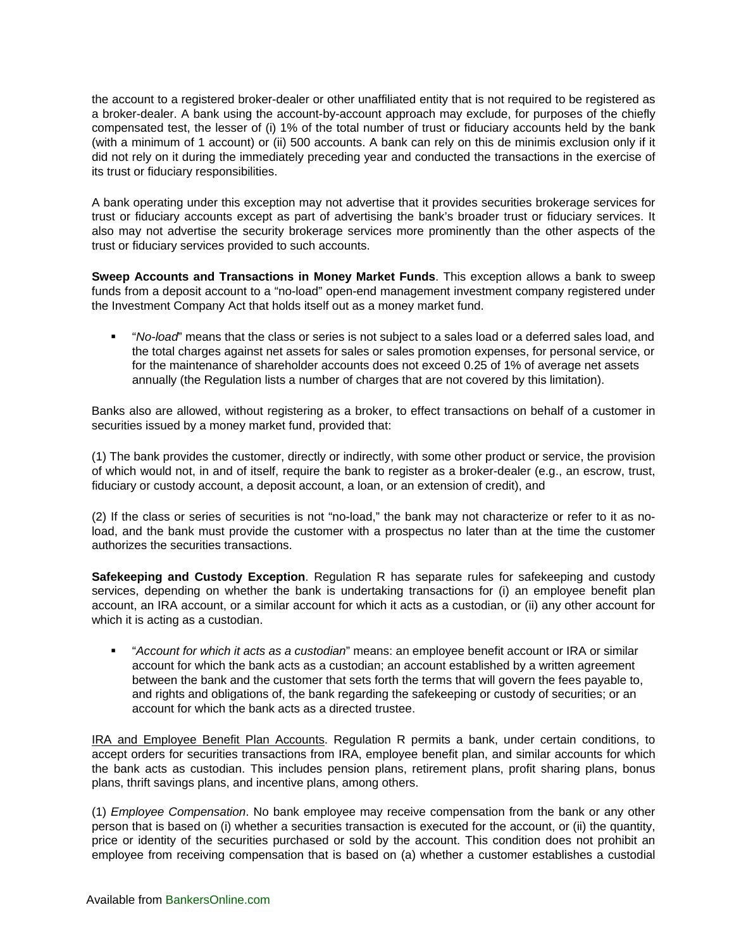the account to a registered broker-dealer or other unaffiliated entity that is not required to be registered as a broker-dealer. A bank using the account-by-account approach may exclude, for purposes of the chiefly compensated test, the lesser of (i) 1% of the total number of trust or fiduciary accounts held by the bank (with a minimum of 1 account) or (ii) 500 accounts. A bank can rely on this de minimis exclusion only if it did not rely on it during the immediately preceding year and conducted the transactions in the exercise of its trust or fiduciary responsibilities.

A bank operating under this exception may not advertise that it provides securities brokerage services for trust or fiduciary accounts except as part of advertising the bank's broader trust or fiduciary services. It also may not advertise the security brokerage services more prominently than the other aspects of the trust or fiduciary services provided to such accounts.

**Sweep Accounts and Transactions in Money Market Funds**. This exception allows a bank to sweep funds from a deposit account to a "no-load" open-end management investment company registered under the Investment Company Act that holds itself out as a money market fund.

 "*No-load*" means that the class or series is not subject to a sales load or a deferred sales load, and the total charges against net assets for sales or sales promotion expenses, for personal service, or for the maintenance of shareholder accounts does not exceed 0.25 of 1% of average net assets annually (the Regulation lists a number of charges that are not covered by this limitation).

Banks also are allowed, without registering as a broker, to effect transactions on behalf of a customer in securities issued by a money market fund, provided that:

(1) The bank provides the customer, directly or indirectly, with some other product or service, the provision of which would not, in and of itself, require the bank to register as a broker-dealer (e.g., an escrow, trust, fiduciary or custody account, a deposit account, a loan, or an extension of credit), and

(2) If the class or series of securities is not "no-load," the bank may not characterize or refer to it as noload, and the bank must provide the customer with a prospectus no later than at the time the customer authorizes the securities transactions.

**Safekeeping and Custody Exception**. Regulation R has separate rules for safekeeping and custody services, depending on whether the bank is undertaking transactions for (i) an employee benefit plan account, an IRA account, or a similar account for which it acts as a custodian, or (ii) any other account for which it is acting as a custodian.

 "*Account for which it acts as a custodian*" means: an employee benefit account or IRA or similar account for which the bank acts as a custodian; an account established by a written agreement between the bank and the customer that sets forth the terms that will govern the fees payable to, and rights and obligations of, the bank regarding the safekeeping or custody of securities; or an account for which the bank acts as a directed trustee.

IRA and Employee Benefit Plan Accounts. Regulation R permits a bank, under certain conditions, to accept orders for securities transactions from IRA, employee benefit plan, and similar accounts for which the bank acts as custodian. This includes pension plans, retirement plans, profit sharing plans, bonus plans, thrift savings plans, and incentive plans, among others.

(1) *Employee Compensation*. No bank employee may receive compensation from the bank or any other person that is based on (i) whether a securities transaction is executed for the account, or (ii) the quantity, price or identity of the securities purchased or sold by the account. This condition does not prohibit an employee from receiving compensation that is based on (a) whether a customer establishes a custodial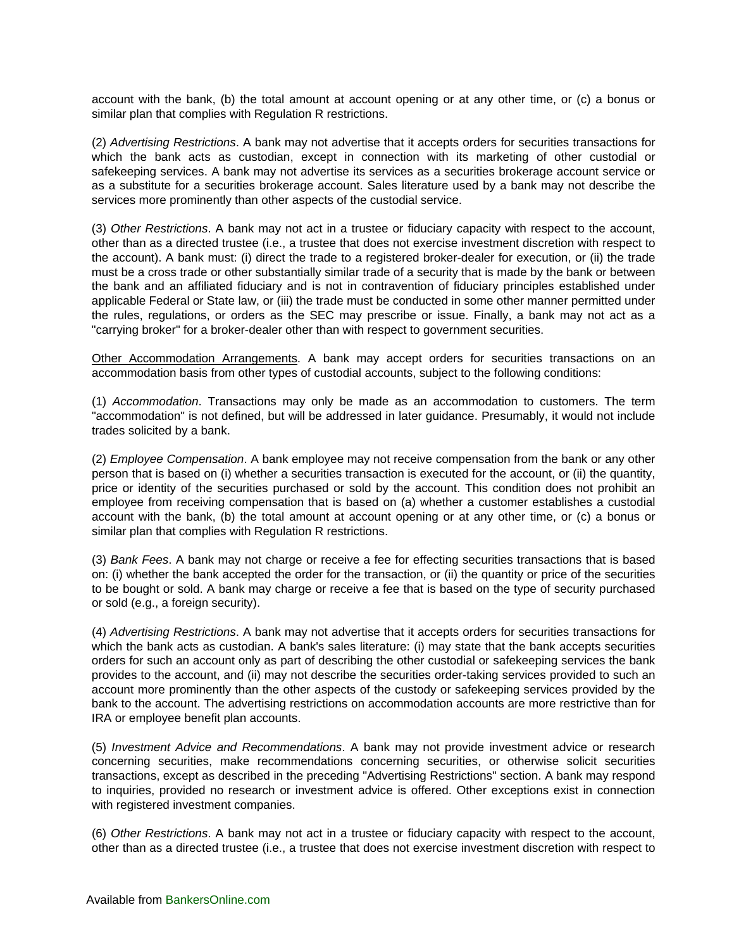account with the bank, (b) the total amount at account opening or at any other time, or (c) a bonus or similar plan that complies with Regulation R restrictions.

(2) *Advertising Restrictions*. A bank may not advertise that it accepts orders for securities transactions for which the bank acts as custodian, except in connection with its marketing of other custodial or safekeeping services. A bank may not advertise its services as a securities brokerage account service or as a substitute for a securities brokerage account. Sales literature used by a bank may not describe the services more prominently than other aspects of the custodial service.

(3) *Other Restrictions*. A bank may not act in a trustee or fiduciary capacity with respect to the account, other than as a directed trustee (i.e., a trustee that does not exercise investment discretion with respect to the account). A bank must: (i) direct the trade to a registered broker-dealer for execution, or (ii) the trade must be a cross trade or other substantially similar trade of a security that is made by the bank or between the bank and an affiliated fiduciary and is not in contravention of fiduciary principles established under applicable Federal or State law, or (iii) the trade must be conducted in some other manner permitted under the rules, regulations, or orders as the SEC may prescribe or issue. Finally, a bank may not act as a "carrying broker" for a broker-dealer other than with respect to government securities.

Other Accommodation Arrangements. A bank may accept orders for securities transactions on an accommodation basis from other types of custodial accounts, subject to the following conditions:

(1) *Accommodation*. Transactions may only be made as an accommodation to customers. The term "accommodation" is not defined, but will be addressed in later guidance. Presumably, it would not include trades solicited by a bank.

(2) *Employee Compensation*. A bank employee may not receive compensation from the bank or any other person that is based on (i) whether a securities transaction is executed for the account, or (ii) the quantity, price or identity of the securities purchased or sold by the account. This condition does not prohibit an employee from receiving compensation that is based on (a) whether a customer establishes a custodial account with the bank, (b) the total amount at account opening or at any other time, or (c) a bonus or similar plan that complies with Regulation R restrictions.

(3) *Bank Fees*. A bank may not charge or receive a fee for effecting securities transactions that is based on: (i) whether the bank accepted the order for the transaction, or (ii) the quantity or price of the securities to be bought or sold. A bank may charge or receive a fee that is based on the type of security purchased or sold (e.g., a foreign security).

(4) *Advertising Restrictions*. A bank may not advertise that it accepts orders for securities transactions for which the bank acts as custodian. A bank's sales literature: (i) may state that the bank accepts securities orders for such an account only as part of describing the other custodial or safekeeping services the bank provides to the account, and (ii) may not describe the securities order-taking services provided to such an account more prominently than the other aspects of the custody or safekeeping services provided by the bank to the account. The advertising restrictions on accommodation accounts are more restrictive than for IRA or employee benefit plan accounts.

(5) *Investment Advice and Recommendations*. A bank may not provide investment advice or research concerning securities, make recommendations concerning securities, or otherwise solicit securities transactions, except as described in the preceding "Advertising Restrictions" section. A bank may respond to inquiries, provided no research or investment advice is offered. Other exceptions exist in connection with registered investment companies.

(6) *Other Restrictions*. A bank may not act in a trustee or fiduciary capacity with respect to the account, other than as a directed trustee (i.e., a trustee that does not exercise investment discretion with respect to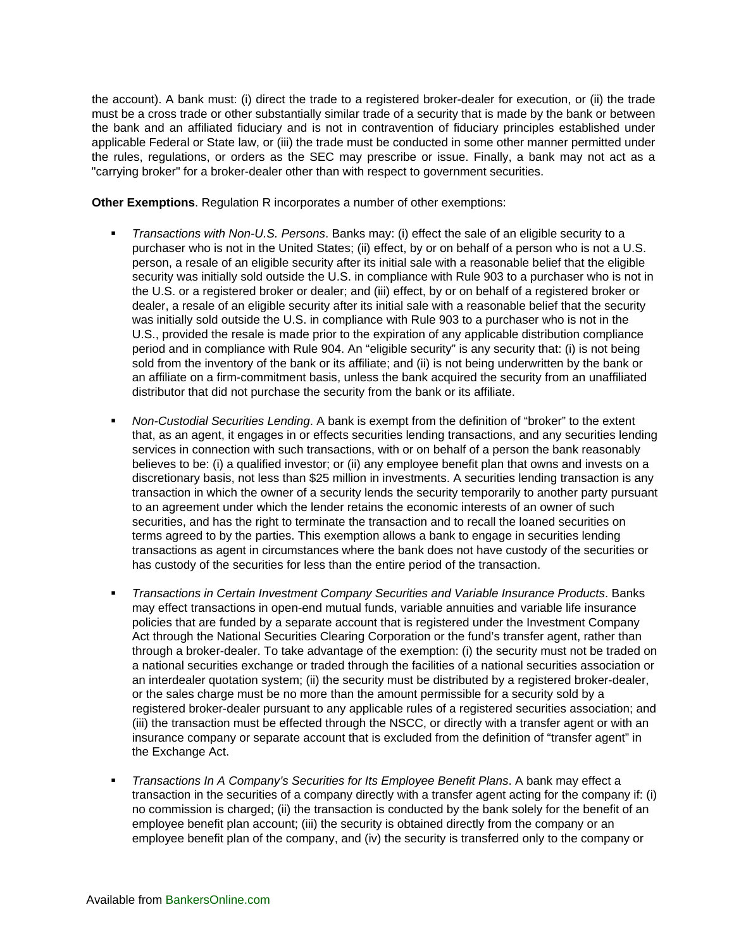the account). A bank must: (i) direct the trade to a registered broker-dealer for execution, or (ii) the trade must be a cross trade or other substantially similar trade of a security that is made by the bank or between the bank and an affiliated fiduciary and is not in contravention of fiduciary principles established under applicable Federal or State law, or (iii) the trade must be conducted in some other manner permitted under the rules, regulations, or orders as the SEC may prescribe or issue. Finally, a bank may not act as a "carrying broker" for a broker-dealer other than with respect to government securities.

**Other Exemptions**. Regulation R incorporates a number of other exemptions:

- *Transactions with Non-U.S. Persons*. Banks may: (i) effect the sale of an eligible security to a purchaser who is not in the United States; (ii) effect, by or on behalf of a person who is not a U.S. person, a resale of an eligible security after its initial sale with a reasonable belief that the eligible security was initially sold outside the U.S. in compliance with Rule 903 to a purchaser who is not in the U.S. or a registered broker or dealer; and (iii) effect, by or on behalf of a registered broker or dealer, a resale of an eligible security after its initial sale with a reasonable belief that the security was initially sold outside the U.S. in compliance with Rule 903 to a purchaser who is not in the U.S., provided the resale is made prior to the expiration of any applicable distribution compliance period and in compliance with Rule 904. An "eligible security" is any security that: (i) is not being sold from the inventory of the bank or its affiliate; and (ii) is not being underwritten by the bank or an affiliate on a firm-commitment basis, unless the bank acquired the security from an unaffiliated distributor that did not purchase the security from the bank or its affiliate.
- *Non-Custodial Securities Lending*. A bank is exempt from the definition of "broker" to the extent that, as an agent, it engages in or effects securities lending transactions, and any securities lending services in connection with such transactions, with or on behalf of a person the bank reasonably believes to be: (i) a qualified investor; or (ii) any employee benefit plan that owns and invests on a discretionary basis, not less than \$25 million in investments. A securities lending transaction is any transaction in which the owner of a security lends the security temporarily to another party pursuant to an agreement under which the lender retains the economic interests of an owner of such securities, and has the right to terminate the transaction and to recall the loaned securities on terms agreed to by the parties. This exemption allows a bank to engage in securities lending transactions as agent in circumstances where the bank does not have custody of the securities or has custody of the securities for less than the entire period of the transaction.
- *Transactions in Certain Investment Company Securities and Variable Insurance Products*. Banks may effect transactions in open-end mutual funds, variable annuities and variable life insurance policies that are funded by a separate account that is registered under the Investment Company Act through the National Securities Clearing Corporation or the fund's transfer agent, rather than through a broker-dealer. To take advantage of the exemption: (i) the security must not be traded on a national securities exchange or traded through the facilities of a national securities association or an interdealer quotation system; (ii) the security must be distributed by a registered broker-dealer, or the sales charge must be no more than the amount permissible for a security sold by a registered broker-dealer pursuant to any applicable rules of a registered securities association; and (iii) the transaction must be effected through the NSCC, or directly with a transfer agent or with an insurance company or separate account that is excluded from the definition of "transfer agent" in the Exchange Act.
- *Transactions In A Company's Securities for Its Employee Benefit Plans*. A bank may effect a transaction in the securities of a company directly with a transfer agent acting for the company if: (i) no commission is charged; (ii) the transaction is conducted by the bank solely for the benefit of an employee benefit plan account; (iii) the security is obtained directly from the company or an employee benefit plan of the company, and (iv) the security is transferred only to the company or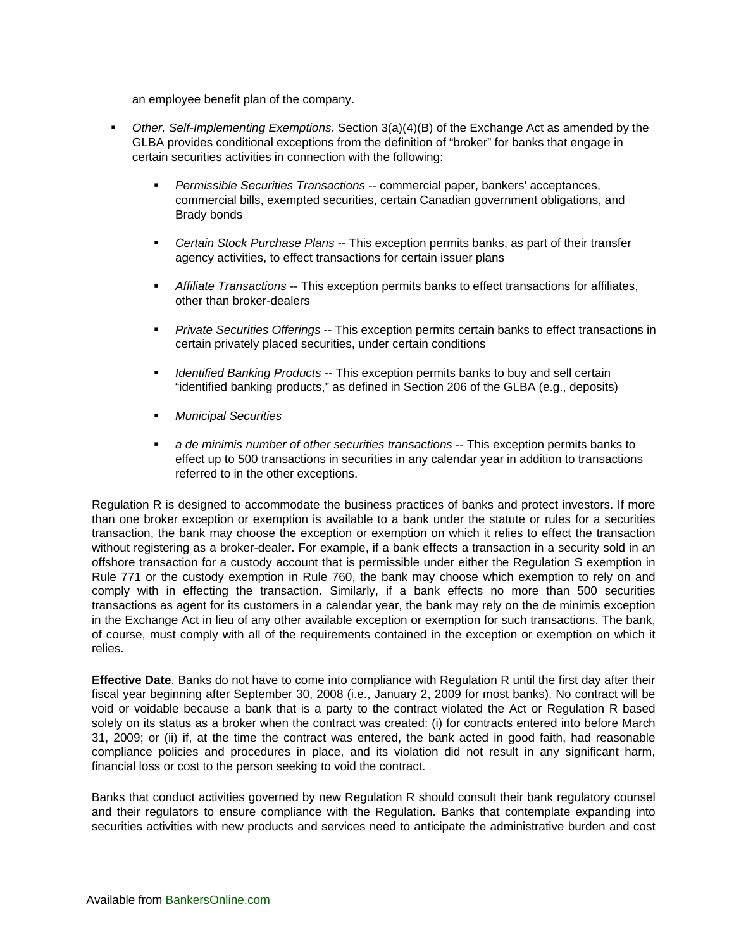an employee benefit plan of the company.

- *Other, Self-Implementing Exemptions*. Section 3(a)(4)(B) of the Exchange Act as amended by the GLBA provides conditional exceptions from the definition of "broker" for banks that engage in certain securities activities in connection with the following:
	- *Permissible Securities Transactions* -- commercial paper, bankers' acceptances, commercial bills, exempted securities, certain Canadian government obligations, and Brady bonds
	- *Certain Stock Purchase Plans* -- This exception permits banks, as part of their transfer agency activities, to effect transactions for certain issuer plans
	- *Affiliate Transactions* -- This exception permits banks to effect transactions for affiliates, other than broker-dealers
	- *Private Securities Offerings* -- This exception permits certain banks to effect transactions in certain privately placed securities, under certain conditions
	- *Identified Banking Products* -- This exception permits banks to buy and sell certain "identified banking products," as defined in Section 206 of the GLBA (e.g., deposits)
	- *Municipal Securities*
	- *a de minimis number of other securities transactions* -- This exception permits banks to effect up to 500 transactions in securities in any calendar year in addition to transactions referred to in the other exceptions.

Regulation R is designed to accommodate the business practices of banks and protect investors. If more than one broker exception or exemption is available to a bank under the statute or rules for a securities transaction, the bank may choose the exception or exemption on which it relies to effect the transaction without registering as a broker-dealer. For example, if a bank effects a transaction in a security sold in an offshore transaction for a custody account that is permissible under either the Regulation S exemption in Rule 771 or the custody exemption in Rule 760, the bank may choose which exemption to rely on and comply with in effecting the transaction. Similarly, if a bank effects no more than 500 securities transactions as agent for its customers in a calendar year, the bank may rely on the de minimis exception in the Exchange Act in lieu of any other available exception or exemption for such transactions. The bank, of course, must comply with all of the requirements contained in the exception or exemption on which it relies.

**Effective Date**. Banks do not have to come into compliance with Regulation R until the first day after their fiscal year beginning after September 30, 2008 (i.e., January 2, 2009 for most banks). No contract will be void or voidable because a bank that is a party to the contract violated the Act or Regulation R based solely on its status as a broker when the contract was created: (i) for contracts entered into before March 31, 2009; or (ii) if, at the time the contract was entered, the bank acted in good faith, had reasonable compliance policies and procedures in place, and its violation did not result in any significant harm, financial loss or cost to the person seeking to void the contract.

Banks that conduct activities governed by new Regulation R should consult their bank regulatory counsel and their regulators to ensure compliance with the Regulation. Banks that contemplate expanding into securities activities with new products and services need to anticipate the administrative burden and cost